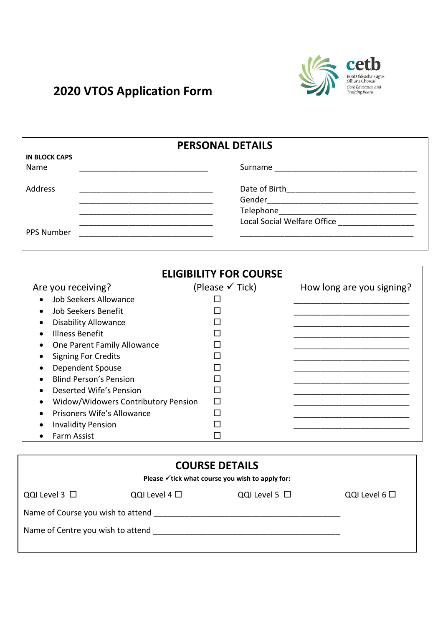

## 2020 VTOS Application Form

|                                                                                                                                                                                                                                      | <b>PERSONAL DETAILS</b>       |                                                |  |
|--------------------------------------------------------------------------------------------------------------------------------------------------------------------------------------------------------------------------------------|-------------------------------|------------------------------------------------|--|
| <b>IN BLOCK CAPS</b>                                                                                                                                                                                                                 |                               |                                                |  |
| Name                                                                                                                                                                                                                                 |                               |                                                |  |
| <b>Address</b>                                                                                                                                                                                                                       |                               |                                                |  |
|                                                                                                                                                                                                                                      |                               |                                                |  |
| <u> 1989 - Johann Harry Harry Harry Harry Harry Harry Harry Harry Harry Harry Harry Harry Harry Harry Harry Harry Harry Harry Harry Harry Harry Harry Harry Harry Harry Harry Harry Harry Harry Harry Harry Harry Harry Harry Ha</u> |                               |                                                |  |
|                                                                                                                                                                                                                                      |                               | Local Social Welfare Office __________________ |  |
| <b>PPS Number</b>                                                                                                                                                                                                                    |                               |                                                |  |
|                                                                                                                                                                                                                                      |                               |                                                |  |
|                                                                                                                                                                                                                                      |                               |                                                |  |
|                                                                                                                                                                                                                                      | <b>ELIGIBILITY FOR COURSE</b> |                                                |  |
|                                                                                                                                                                                                                                      |                               |                                                |  |
| Are you receiving?                                                                                                                                                                                                                   | (Please $\checkmark$ Tick)    | How long are you signing?                      |  |
| Job Seekers Allowance<br>$\bullet$                                                                                                                                                                                                   |                               |                                                |  |
| Job Seekers Benefit<br>$\bullet$                                                                                                                                                                                                     |                               |                                                |  |
| <b>Disability Allowance</b><br>$\bullet$                                                                                                                                                                                             |                               |                                                |  |
| <b>Illness Benefit</b>                                                                                                                                                                                                               |                               |                                                |  |

|           | דורטוריסט ככשוווו                   |  |
|-----------|-------------------------------------|--|
| $\bullet$ | One Parent Family Allowance         |  |
|           | <b>Signing For Credits</b>          |  |
|           | Dependent Spouse                    |  |
| $\bullet$ | <b>Blind Person's Pension</b>       |  |
| $\bullet$ | Deserted Wife's Pension             |  |
| $\bullet$ | Widow/Widowers Contributory Pension |  |
| $\bullet$ | Prisoners Wife's Allowance          |  |
| $\bullet$ | <b>Invalidity Pension</b>           |  |
|           | Farm Assist                         |  |
|           |                                     |  |

| <b>COURSE DETAILS</b><br>Please $\checkmark$ tick what course you wish to apply for: |                    |                    |                   |  |  |
|--------------------------------------------------------------------------------------|--------------------|--------------------|-------------------|--|--|
| QQI Level $3$ $\square$                                                              | QQI Level 4 $\Box$ | QQI Level 5 $\Box$ | QQI Level $6\Box$ |  |  |
| Name of Course you wish to attend                                                    |                    |                    |                   |  |  |
| Name of Centre you wish to attend                                                    |                    |                    |                   |  |  |
|                                                                                      |                    |                    |                   |  |  |